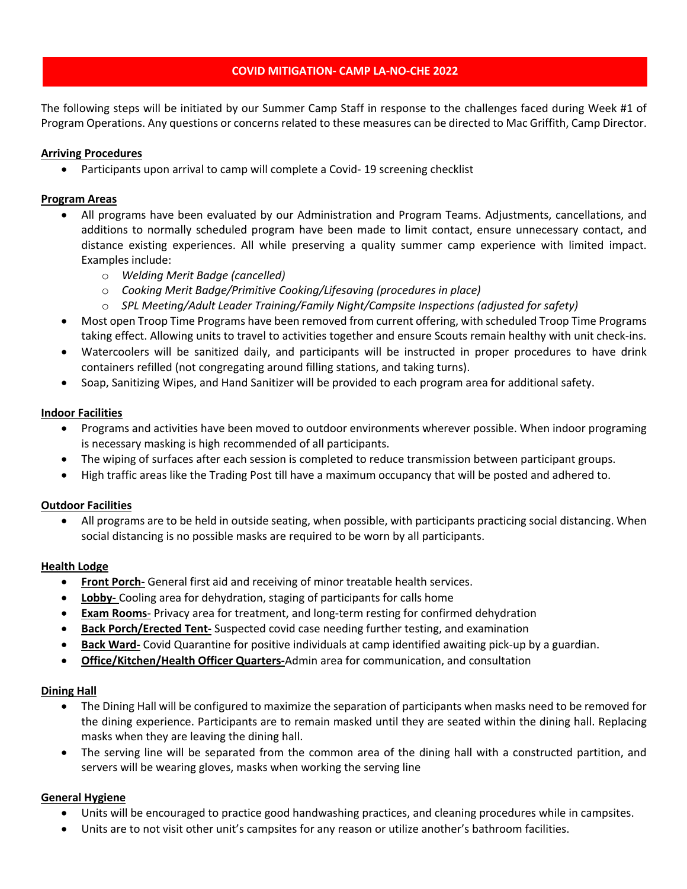# **COVID MITIGATION- CAMP LA-NO-CHE 2022**

The following steps will be initiated by our Summer Camp Staff in response to the challenges faced during Week #1 of Program Operations. Any questions or concerns related to these measures can be directed to Mac Griffith, Camp Director.

# **Arriving Procedures**

• Participants upon arrival to camp will complete a Covid-19 screening checklist

# **Program Areas**

- All programs have been evaluated by our Administration and Program Teams. Adjustments, cancellations, and additions to normally scheduled program have been made to limit contact, ensure unnecessary contact, and distance existing experiences. All while preserving a quality summer camp experience with limited impact. Examples include:
	- o *Welding Merit Badge (cancelled)*
	- o *Cooking Merit Badge/Primitive Cooking/Lifesaving (procedures in place)*
	- o *SPL Meeting/Adult Leader Training/Family Night/Campsite Inspections (adjusted for safety)*
- Most open Troop Time Programs have been removed from current offering, with scheduled Troop Time Programs taking effect. Allowing units to travel to activities together and ensure Scouts remain healthy with unit check-ins.
- Watercoolers will be sanitized daily, and participants will be instructed in proper procedures to have drink containers refilled (not congregating around filling stations, and taking turns).
- Soap, Sanitizing Wipes, and Hand Sanitizer will be provided to each program area for additional safety.

### **Indoor Facilities**

- Programs and activities have been moved to outdoor environments wherever possible. When indoor programing is necessary masking is high recommended of all participants.
- The wiping of surfaces after each session is completed to reduce transmission between participant groups.
- High traffic areas like the Trading Post till have a maximum occupancy that will be posted and adhered to.

### **Outdoor Facilities**

• All programs are to be held in outside seating, when possible, with participants practicing social distancing. When social distancing is no possible masks are required to be worn by all participants.

### **Health Lodge**

- **Front Porch-** General first aid and receiving of minor treatable health services.
- **Lobby-** Cooling area for dehydration, staging of participants for calls home
- **Exam Rooms** Privacy area for treatment, and long-term resting for confirmed dehydration
- **Back Porch/Erected Tent-** Suspected covid case needing further testing, and examination
- **Back Ward-** Covid Quarantine for positive individuals at camp identified awaiting pick-up by a guardian.
- **Office/Kitchen/Health Officer Quarters-**Admin area for communication, and consultation

### **Dining Hall**

- The Dining Hall will be configured to maximize the separation of participants when masks need to be removed for the dining experience. Participants are to remain masked until they are seated within the dining hall. Replacing masks when they are leaving the dining hall.
- The serving line will be separated from the common area of the dining hall with a constructed partition, and servers will be wearing gloves, masks when working the serving line

### **General Hygiene**

- Units will be encouraged to practice good handwashing practices, and cleaning procedures while in campsites.
- Units are to not visit other unit's campsites for any reason or utilize another's bathroom facilities.